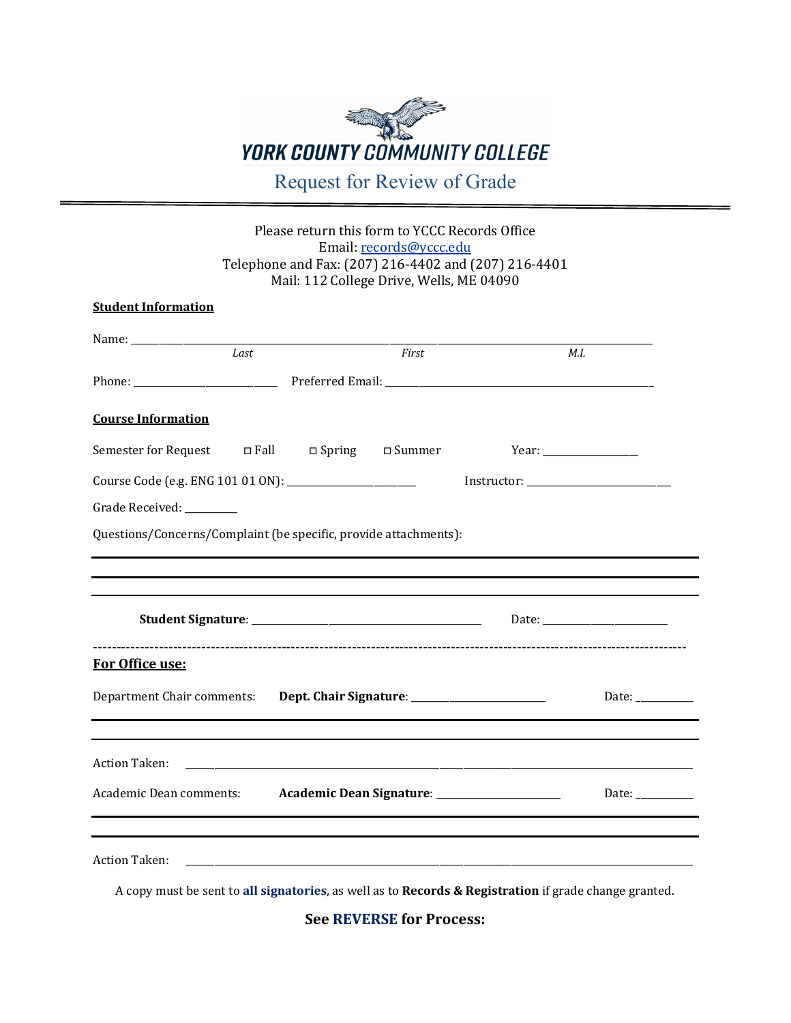## **YORK COUNTY COMMUNITY COLLEGE** Request for Review of Grade

## Please return this form to YCCC Records Office Email[: records@yccc.edu](mailto:records@yccc.edu) Telephone and Fax: (207) 216-4402 and (207) 216-4401 Mail: 112 College Drive, Wells, ME 04090

| <b>Student Information</b>                                                 |      |  |       |  |                                                        |
|----------------------------------------------------------------------------|------|--|-------|--|--------------------------------------------------------|
|                                                                            | Last |  | First |  | M.I.                                                   |
|                                                                            |      |  |       |  |                                                        |
|                                                                            |      |  |       |  |                                                        |
| <b>Course Information</b>                                                  |      |  |       |  |                                                        |
| Semester for Request $\Box$ Fall $\Box$ Spring $\Box$ Summer               |      |  |       |  |                                                        |
|                                                                            |      |  |       |  |                                                        |
| Grade Received: ________                                                   |      |  |       |  |                                                        |
| Questions/Concerns/Complaint (be specific, provide attachments):           |      |  |       |  |                                                        |
|                                                                            |      |  |       |  |                                                        |
|                                                                            |      |  |       |  |                                                        |
|                                                                            |      |  |       |  |                                                        |
| For Office use:                                                            |      |  |       |  |                                                        |
| Department Chair comments: Dept. Chair Signature: ________________________ |      |  |       |  | Date: $\frac{1}{2}$                                    |
|                                                                            |      |  |       |  |                                                        |
|                                                                            |      |  |       |  |                                                        |
| <b>Action Taken:</b>                                                       |      |  |       |  |                                                        |
| Academic Dean comments: Academic Dean Signature: __________________        |      |  |       |  | Date: $\frac{1}{\sqrt{1-\frac{1}{2}}\cdot\frac{1}{2}}$ |
|                                                                            |      |  |       |  |                                                        |
|                                                                            |      |  |       |  |                                                        |
| <b>Action Taken:</b>                                                       |      |  |       |  |                                                        |
|                                                                            |      |  |       |  |                                                        |

A copy must be sent to **all signatories**, as well as to **Records & Registration** if grade change granted.

**See REVERSE for Process:**